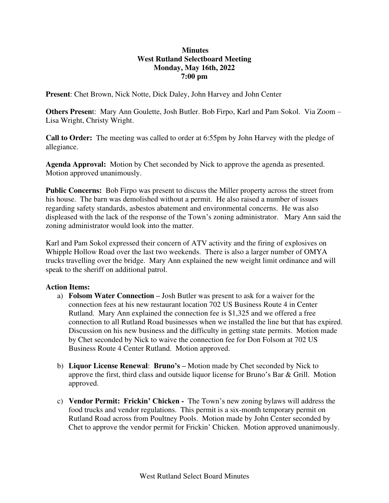## **Minutes West Rutland Selectboard Meeting Monday, May 16th, 2022 7:00 pm**

**Present**: Chet Brown, Nick Notte, Dick Daley, John Harvey and John Center

**Others Presen**t: Mary Ann Goulette, Josh Butler. Bob Firpo, Karl and Pam Sokol. Via Zoom – Lisa Wright, Christy Wright.

**Call to Order:** The meeting was called to order at 6:55pm by John Harvey with the pledge of allegiance.

**Agenda Approval:** Motion by Chet seconded by Nick to approve the agenda as presented. Motion approved unanimously.

**Public Concerns:** Bob Firpo was present to discuss the Miller property across the street from his house. The barn was demolished without a permit. He also raised a number of issues regarding safety standards, asbestos abatement and environmental concerns. He was also displeased with the lack of the response of the Town's zoning administrator. Mary Ann said the zoning administrator would look into the matter.

Karl and Pam Sokol expressed their concern of ATV activity and the firing of explosives on Whipple Hollow Road over the last two weekends. There is also a larger number of OMYA trucks travelling over the bridge. Mary Ann explained the new weight limit ordinance and will speak to the sheriff on additional patrol.

## **Action Items:**

- a) **Folsom Water Connection –** Josh Butler was present to ask for a waiver for the connection fees at his new restaurant location 702 US Business Route 4 in Center Rutland. Mary Ann explained the connection fee is \$1,325 and we offered a free connection to all Rutland Road businesses when we installed the line but that has expired. Discussion on his new business and the difficulty in getting state permits. Motion made by Chet seconded by Nick to waive the connection fee for Don Folsom at 702 US Business Route 4 Center Rutland. Motion approved.
- b) **Liquor License Renewal**: **Bruno's –** Motion made by Chet seconded by Nick to approve the first, third class and outside liquor license for Bruno's Bar & Grill. Motion approved.
- c) **Vendor Permit: Frickin' Chicken** The Town's new zoning bylaws will address the food trucks and vendor regulations. This permit is a six-month temporary permit on Rutland Road across from Poultney Pools. Motion made by John Center seconded by Chet to approve the vendor permit for Frickin' Chicken. Motion approved unanimously.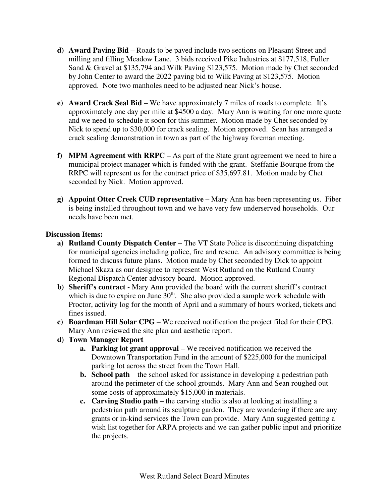- **d) Award Paving Bid**  Roads to be paved include two sections on Pleasant Street and milling and filling Meadow Lane. 3 bids received Pike Industries at \$177,518, Fuller Sand & Gravel at \$135,794 and Wilk Paving \$123,575. Motion made by Chet seconded by John Center to award the 2022 paving bid to Wilk Paving at \$123,575. Motion approved. Note two manholes need to be adjusted near Nick's house.
- **e) Award Crack Seal Bid –** We have approximately 7 miles of roads to complete. It's approximately one day per mile at \$4500 a day. Mary Ann is waiting for one more quote and we need to schedule it soon for this summer. Motion made by Chet seconded by Nick to spend up to \$30,000 for crack sealing. Motion approved. Sean has arranged a crack sealing demonstration in town as part of the highway foreman meeting.
- **f) MPM Agreement with RRPC –** As part of the State grant agreement we need to hire a municipal project manager which is funded with the grant. Steffanie Bourque from the RRPC will represent us for the contract price of \$35,697.81.Motion made by Chet seconded by Nick. Motion approved.
- **g) Appoint Otter Creek CUD representative**  Mary Ann has been representing us. Fiber is being installed throughout town and we have very few underserved households. Our needs have been met.

## **Discussion Items:**

- **a) Rutland County Dispatch Center –** The VT State Police is discontinuing dispatching for municipal agencies including police, fire and rescue. An advisory committee is being formed to discuss future plans. Motion made by Chet seconded by Dick to appoint Michael Skaza as our designee to represent West Rutland on the Rutland County Regional Dispatch Center advisory board. Motion approved.
- **b) Sheriff's contract** Mary Ann provided the board with the current sheriff's contract which is due to expire on June  $30<sup>th</sup>$ . She also provided a sample work schedule with Proctor, activity log for the month of April and a summary of hours worked, tickets and fines issued.
- **c) Boardman Hill Solar CPG**  We received notification the project filed for their CPG. Mary Ann reviewed the site plan and aesthetic report.
- **d) Town Manager Report** 
	- **a. Parking lot grant approval –** We received notification we received the Downtown Transportation Fund in the amount of \$225,000 for the municipal parking lot across the street from the Town Hall.
	- **b. School path** the school asked for assistance in developing a pedestrian path around the perimeter of the school grounds. Mary Ann and Sean roughed out some costs of approximately \$15,000 in materials.
	- **c. Carving Studio path –** the carving studio is also at looking at installing a pedestrian path around its sculpture garden. They are wondering if there are any grants or in-kind services the Town can provide. Mary Ann suggested getting a wish list together for ARPA projects and we can gather public input and prioritize the projects.